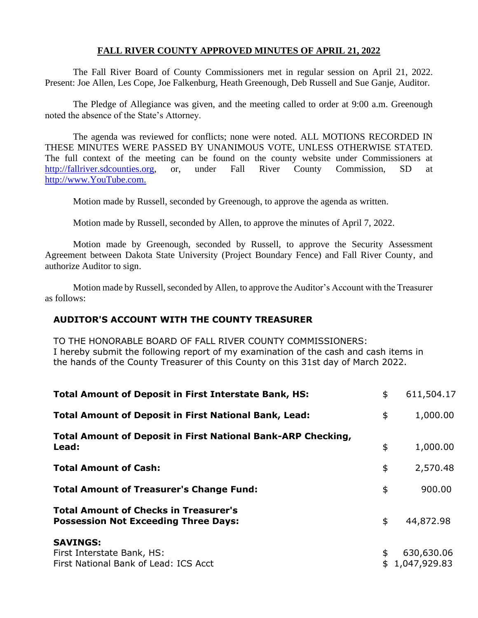#### **FALL RIVER COUNTY APPROVED MINUTES OF APRIL 21, 2022**

The Fall River Board of County Commissioners met in regular session on April 21, 2022. Present: Joe Allen, Les Cope, Joe Falkenburg, Heath Greenough, Deb Russell and Sue Ganje, Auditor.

The Pledge of Allegiance was given, and the meeting called to order at 9:00 a.m. Greenough noted the absence of the State's Attorney.

The agenda was reviewed for conflicts; none were noted. ALL MOTIONS RECORDED IN THESE MINUTES WERE PASSED BY UNANIMOUS VOTE, UNLESS OTHERWISE STATED. The full context of the meeting can be found on the county website under Commissioners at [http://fallriver.sdcounties.org,](http://fallriver.sdcounties.org/) or, under Fall River County Commission, SD at [http://www.YouTube.com.](http://www.youtube.com/)

Motion made by Russell, seconded by Greenough, to approve the agenda as written.

Motion made by Russell, seconded by Allen, to approve the minutes of April 7, 2022.

Motion made by Greenough, seconded by Russell, to approve the Security Assessment Agreement between Dakota State University (Project Boundary Fence) and Fall River County, and authorize Auditor to sign.

Motion made by Russell, seconded by Allen, to approve the Auditor's Account with the Treasurer as follows:

# **AUDITOR'S ACCOUNT WITH THE COUNTY TREASURER**

TO THE HONORABLE BOARD OF FALL RIVER COUNTY COMMISSIONERS: I hereby submit the following report of my examination of the cash and cash items in the hands of the County Treasurer of this County on this 31st day of March 2022.

| <b>Total Amount of Deposit in First Interstate Bank, HS:</b>                                | \$<br>611,504.17                 |
|---------------------------------------------------------------------------------------------|----------------------------------|
| <b>Total Amount of Deposit in First National Bank, Lead:</b>                                | \$<br>1,000.00                   |
| <b>Total Amount of Deposit in First National Bank-ARP Checking,</b><br>Lead:                | \$<br>1,000.00                   |
| <b>Total Amount of Cash:</b>                                                                | \$<br>2,570.48                   |
| <b>Total Amount of Treasurer's Change Fund:</b>                                             | \$<br>900.00                     |
| <b>Total Amount of Checks in Treasurer's</b><br><b>Possession Not Exceeding Three Days:</b> | \$<br>44,872.98                  |
| <b>SAVINGS:</b><br>First Interstate Bank, HS:<br>First National Bank of Lead: ICS Acct      | \$<br>630,630.06<br>1,047,929.83 |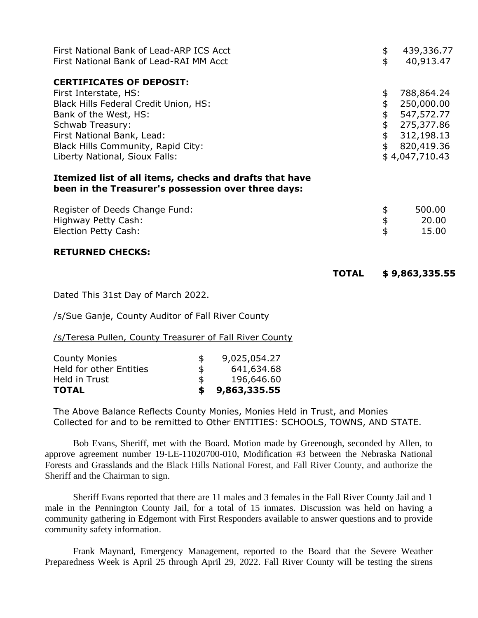| First National Bank of Lead-ARP ICS Acct<br>First National Bank of Lead-RAI MM Acct                            | \$<br>\$ | 439,336.77<br>40,913.47 |
|----------------------------------------------------------------------------------------------------------------|----------|-------------------------|
| <b>CERTIFICATES OF DEPOSIT:</b>                                                                                |          |                         |
| First Interstate, HS:                                                                                          | \$       | 788,864.24              |
| Black Hills Federal Credit Union, HS:                                                                          | \$       | 250,000.00              |
| Bank of the West, HS:                                                                                          | \$       | 547,572.77              |
| <b>Schwab Treasury:</b>                                                                                        | \$       | 275,377.86              |
| First National Bank, Lead:                                                                                     | \$       | 312,198.13              |
| Black Hills Community, Rapid City:                                                                             | \$       | 820,419.36              |
| Liberty National, Sioux Falls:                                                                                 |          | \$4,047,710.43          |
| Itemized list of all items, checks and drafts that have<br>been in the Treasurer's possession over three days: |          |                         |

| Register of Deeds Change Fund: | 500.00 |
|--------------------------------|--------|
| Highway Petty Cash:            | 20.00  |
| Election Petty Cash:           | 15.00  |

#### **RETURNED CHECKS:**

| <b>TOTAL</b> | \$9,863,335.55 |
|--------------|----------------|
|--------------|----------------|

Dated This 31st Day of March 2022.

/s/Sue Ganje, County Auditor of Fall River County

/s/Teresa Pullen, County Treasurer of Fall River County

| <b>County Monies</b>           | S   | 9,025,054.27 |
|--------------------------------|-----|--------------|
| <b>Held for other Entities</b> | \$  | 641,634.68   |
| Held in Trust                  | \$. | 196,646.60   |
| <b>TOTAL</b>                   |     | 9,863,335.55 |

The Above Balance Reflects County Monies, Monies Held in Trust, and Monies Collected for and to be remitted to Other ENTITIES: SCHOOLS, TOWNS, AND STATE.

Bob Evans, Sheriff, met with the Board. Motion made by Greenough, seconded by Allen, to approve agreement number 19-LE-11020700-010, Modification #3 between the Nebraska National Forests and Grasslands and the Black Hills National Forest, and Fall River County, and authorize the Sheriff and the Chairman to sign.

Sheriff Evans reported that there are 11 males and 3 females in the Fall River County Jail and 1 male in the Pennington County Jail, for a total of 15 inmates. Discussion was held on having a community gathering in Edgemont with First Responders available to answer questions and to provide community safety information.

Frank Maynard, Emergency Management, reported to the Board that the Severe Weather Preparedness Week is April 25 through April 29, 2022. Fall River County will be testing the sirens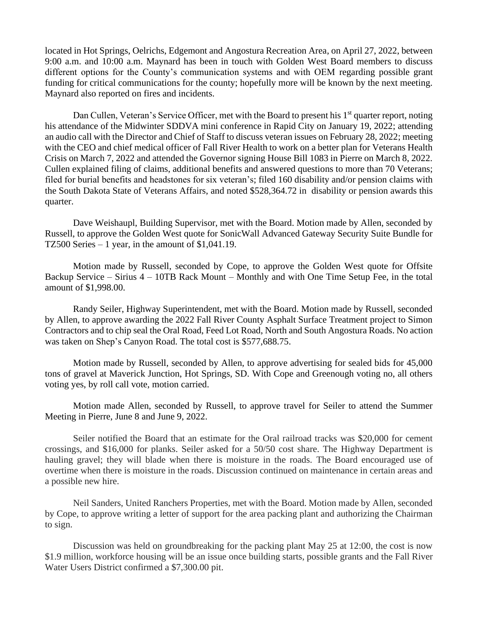located in Hot Springs, Oelrichs, Edgemont and Angostura Recreation Area, on April 27, 2022, between 9:00 a.m. and 10:00 a.m. Maynard has been in touch with Golden West Board members to discuss different options for the County's communication systems and with OEM regarding possible grant funding for critical communications for the county; hopefully more will be known by the next meeting. Maynard also reported on fires and incidents.

Dan Cullen, Veteran's Service Officer, met with the Board to present his 1<sup>st</sup> quarter report, noting his attendance of the Midwinter SDDVA mini conference in Rapid City on January 19, 2022; attending an audio call with the Director and Chief of Staff to discuss veteran issues on February 28, 2022; meeting with the CEO and chief medical officer of Fall River Health to work on a better plan for Veterans Health Crisis on March 7, 2022 and attended the Governor signing House Bill 1083 in Pierre on March 8, 2022. Cullen explained filing of claims, additional benefits and answered questions to more than 70 Veterans; filed for burial benefits and headstones for six veteran's; filed 160 disability and/or pension claims with the South Dakota State of Veterans Affairs, and noted \$528,364.72 in disability or pension awards this quarter.

Dave Weishaupl, Building Supervisor, met with the Board. Motion made by Allen, seconded by Russell, to approve the Golden West quote for SonicWall Advanced Gateway Security Suite Bundle for TZ500 Series  $-1$  year, in the amount of \$1,041.19.

Motion made by Russell, seconded by Cope, to approve the Golden West quote for Offsite Backup Service – Sirius 4 – 10TB Rack Mount – Monthly and with One Time Setup Fee, in the total amount of \$1,998.00.

Randy Seiler, Highway Superintendent, met with the Board. Motion made by Russell, seconded by Allen, to approve awarding the 2022 Fall River County Asphalt Surface Treatment project to Simon Contractors and to chip seal the Oral Road, Feed Lot Road, North and South Angostura Roads. No action was taken on Shep's Canyon Road. The total cost is \$577,688.75.

Motion made by Russell, seconded by Allen, to approve advertising for sealed bids for 45,000 tons of gravel at Maverick Junction, Hot Springs, SD. With Cope and Greenough voting no, all others voting yes, by roll call vote, motion carried.

Motion made Allen, seconded by Russell, to approve travel for Seiler to attend the Summer Meeting in Pierre, June 8 and June 9, 2022.

Seiler notified the Board that an estimate for the Oral railroad tracks was \$20,000 for cement crossings, and \$16,000 for planks. Seiler asked for a 50/50 cost share. The Highway Department is hauling gravel; they will blade when there is moisture in the roads. The Board encouraged use of overtime when there is moisture in the roads. Discussion continued on maintenance in certain areas and a possible new hire.

Neil Sanders, United Ranchers Properties, met with the Board. Motion made by Allen, seconded by Cope, to approve writing a letter of support for the area packing plant and authorizing the Chairman to sign.

Discussion was held on groundbreaking for the packing plant May 25 at 12:00, the cost is now \$1.9 million, workforce housing will be an issue once building starts, possible grants and the Fall River Water Users District confirmed a \$7,300.00 pit.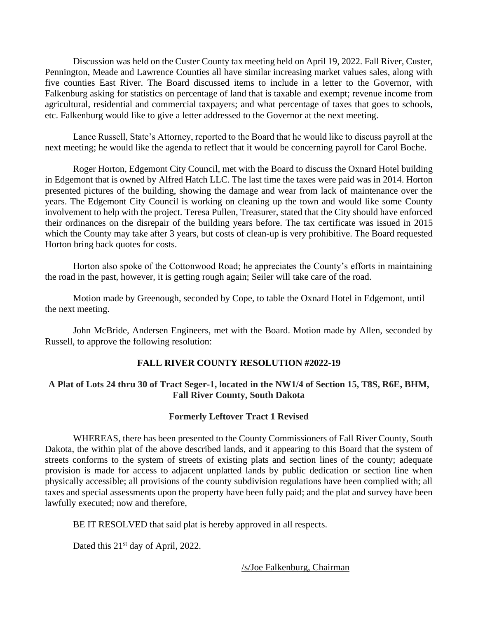Discussion was held on the Custer County tax meeting held on April 19, 2022. Fall River, Custer, Pennington, Meade and Lawrence Counties all have similar increasing market values sales, along with five counties East River. The Board discussed items to include in a letter to the Governor, with Falkenburg asking for statistics on percentage of land that is taxable and exempt; revenue income from agricultural, residential and commercial taxpayers; and what percentage of taxes that goes to schools, etc. Falkenburg would like to give a letter addressed to the Governor at the next meeting.

Lance Russell, State's Attorney, reported to the Board that he would like to discuss payroll at the next meeting; he would like the agenda to reflect that it would be concerning payroll for Carol Boche.

Roger Horton, Edgemont City Council, met with the Board to discuss the Oxnard Hotel building in Edgemont that is owned by Alfred Hatch LLC. The last time the taxes were paid was in 2014. Horton presented pictures of the building, showing the damage and wear from lack of maintenance over the years. The Edgemont City Council is working on cleaning up the town and would like some County involvement to help with the project. Teresa Pullen, Treasurer, stated that the City should have enforced their ordinances on the disrepair of the building years before. The tax certificate was issued in 2015 which the County may take after 3 years, but costs of clean-up is very prohibitive. The Board requested Horton bring back quotes for costs.

Horton also spoke of the Cottonwood Road; he appreciates the County's efforts in maintaining the road in the past, however, it is getting rough again; Seiler will take care of the road.

Motion made by Greenough, seconded by Cope, to table the Oxnard Hotel in Edgemont, until the next meeting.

John McBride, Andersen Engineers, met with the Board. Motion made by Allen, seconded by Russell, to approve the following resolution:

# **FALL RIVER COUNTY RESOLUTION #2022-19**

# **A Plat of Lots 24 thru 30 of Tract Seger-1, located in the NW1/4 of Section 15, T8S, R6E, BHM, Fall River County, South Dakota**

#### **Formerly Leftover Tract 1 Revised**

WHEREAS, there has been presented to the County Commissioners of Fall River County, South Dakota, the within plat of the above described lands, and it appearing to this Board that the system of streets conforms to the system of streets of existing plats and section lines of the county; adequate provision is made for access to adjacent unplatted lands by public dedication or section line when physically accessible; all provisions of the county subdivision regulations have been complied with; all taxes and special assessments upon the property have been fully paid; and the plat and survey have been lawfully executed; now and therefore,

BE IT RESOLVED that said plat is hereby approved in all respects.

Dated this 21<sup>st</sup> day of April, 2022.

/s/Joe Falkenburg, Chairman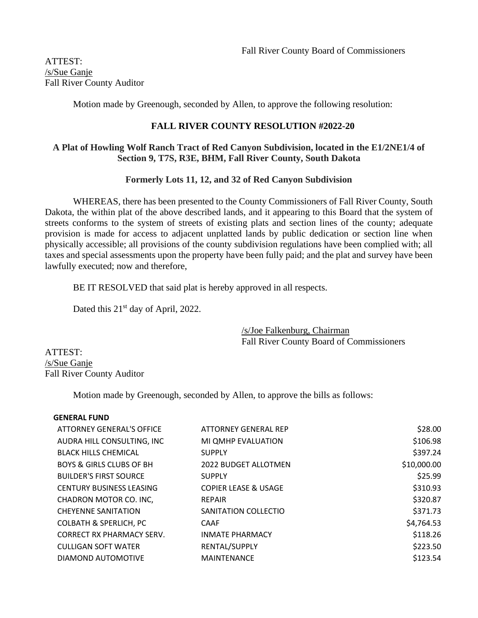ATTEST: /s/Sue Ganje Fall River County Auditor

Motion made by Greenough, seconded by Allen, to approve the following resolution:

# **FALL RIVER COUNTY RESOLUTION #2022-20**

# **A Plat of Howling Wolf Ranch Tract of Red Canyon Subdivision, located in the E1/2NE1/4 of Section 9, T7S, R3E, BHM, Fall River County, South Dakota**

# **Formerly Lots 11, 12, and 32 of Red Canyon Subdivision**

WHEREAS, there has been presented to the County Commissioners of Fall River County, South Dakota, the within plat of the above described lands, and it appearing to this Board that the system of streets conforms to the system of streets of existing plats and section lines of the county; adequate provision is made for access to adjacent unplatted lands by public dedication or section line when physically accessible; all provisions of the county subdivision regulations have been complied with; all taxes and special assessments upon the property have been fully paid; and the plat and survey have been lawfully executed; now and therefore,

BE IT RESOLVED that said plat is hereby approved in all respects.

Dated this 21<sup>st</sup> day of April, 2022.

/s/Joe Falkenburg, Chairman Fall River County Board of Commissioners

ATTEST: /s/Sue Ganje Fall River County Auditor

Motion made by Greenough, seconded by Allen, to approve the bills as follows:

| ATTORNEY GENERAL'S OFFICE           | ATTORNEY GENERAL REP            | \$28.00     |
|-------------------------------------|---------------------------------|-------------|
| AUDRA HILL CONSULTING, INC          | MI QMHP EVALUATION              | \$106.98    |
| <b>BLACK HILLS CHEMICAL</b>         | <b>SUPPLY</b>                   | \$397.24    |
| <b>BOYS &amp; GIRLS CLUBS OF BH</b> | <b>2022 BUDGET ALLOTMEN</b>     | \$10,000.00 |
| <b>BUILDER'S FIRST SOURCE</b>       | <b>SUPPLY</b>                   | \$25.99     |
| <b>CENTURY BUSINESS LEASING</b>     | <b>COPIER LEASE &amp; USAGE</b> | \$310.93    |
| CHADRON MOTOR CO. INC,              | <b>REPAIR</b>                   | \$320.87    |
| <b>CHEYENNE SANITATION</b>          | SANITATION COLLECTIO            | \$371.73    |
| <b>COLBATH &amp; SPERLICH, PC</b>   | <b>CAAF</b>                     | \$4,764.53  |
| <b>CORRECT RX PHARMACY SERV.</b>    | <b>INMATE PHARMACY</b>          | \$118.26    |
| <b>CULLIGAN SOFT WATER</b>          | RENTAL/SUPPLY                   | \$223.50    |
| DIAMOND AUTOMOTIVE                  | <b>MAINTENANCE</b>              | \$123.54    |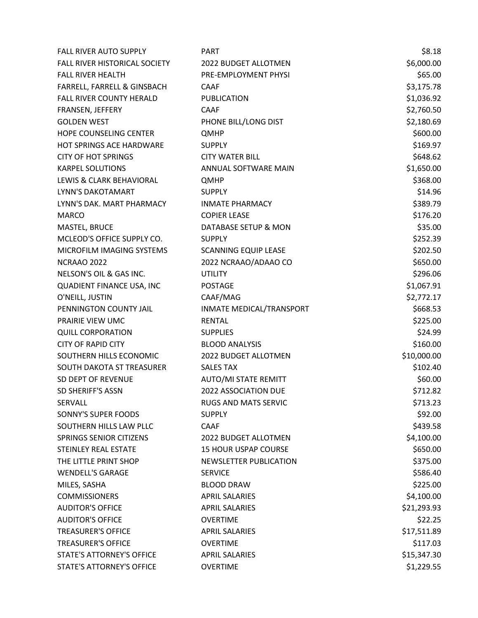| <b>FALL RIVER AUTO SUPPLY</b>    | <b>PART</b>                 | \$8.18      |
|----------------------------------|-----------------------------|-------------|
| FALL RIVER HISTORICAL SOCIETY    | 2022 BUDGET ALLOTMEN        | \$6,000.00  |
| <b>FALL RIVER HEALTH</b>         | PRE-EMPLOYMENT PHYSI        | \$65.00     |
| FARRELL, FARRELL & GINSBACH      | <b>CAAF</b>                 | \$3,175.78  |
| <b>FALL RIVER COUNTY HERALD</b>  | <b>PUBLICATION</b>          | \$1,036.92  |
| FRANSEN, JEFFERY                 | <b>CAAF</b>                 | \$2,760.50  |
| <b>GOLDEN WEST</b>               | PHONE BILL/LONG DIST        | \$2,180.69  |
| <b>HOPE COUNSELING CENTER</b>    | <b>QMHP</b>                 | \$600.00    |
| <b>HOT SPRINGS ACE HARDWARE</b>  | <b>SUPPLY</b>               | \$169.97    |
| <b>CITY OF HOT SPRINGS</b>       | <b>CITY WATER BILL</b>      | \$648.62    |
| <b>KARPEL SOLUTIONS</b>          | ANNUAL SOFTWARE MAIN        | \$1,650.00  |
| LEWIS & CLARK BEHAVIORAL         | <b>QMHP</b>                 | \$368.00    |
| LYNN'S DAKOTAMART                | <b>SUPPLY</b>               | \$14.96     |
| LYNN'S DAK. MART PHARMACY        | <b>INMATE PHARMACY</b>      | \$389.79    |
| <b>MARCO</b>                     | <b>COPIER LEASE</b>         | \$176.20    |
| <b>MASTEL, BRUCE</b>             | DATABASE SETUP & MON        | \$35.00     |
| MCLEOD'S OFFICE SUPPLY CO.       | <b>SUPPLY</b>               | \$252.39    |
| MICROFILM IMAGING SYSTEMS        | <b>SCANNING EQUIP LEASE</b> | \$202.50    |
| NCRAAO 2022                      | 2022 NCRAAO/ADAAO CO        | \$650.00    |
| NELSON'S OIL & GAS INC.          | <b>UTILITY</b>              | \$296.06    |
| QUADIENT FINANCE USA, INC        | <b>POSTAGE</b>              | \$1,067.91  |
| O'NEILL, JUSTIN                  | CAAF/MAG                    | \$2,772.17  |
| PENNINGTON COUNTY JAIL           | INMATE MEDICAL/TRANSPORT    | \$668.53    |
| PRAIRIE VIEW UMC                 | <b>RENTAL</b>               | \$225.00    |
| <b>QUILL CORPORATION</b>         | <b>SUPPLIES</b>             | \$24.99     |
| <b>CITY OF RAPID CITY</b>        | <b>BLOOD ANALYSIS</b>       | \$160.00    |
| SOUTHERN HILLS ECONOMIC          | 2022 BUDGET ALLOTMEN        | \$10,000.00 |
| SOUTH DAKOTA ST TREASURER        | <b>SALES TAX</b>            | \$102.40    |
| SD DEPT OF REVENUE               | AUTO/MI STATE REMITT        | \$60.00     |
| SD SHERIFF'S ASSN                | 2022 ASSOCIATION DUE        | \$712.82    |
| <b>SERVALL</b>                   | <b>RUGS AND MATS SERVIC</b> | \$713.23    |
| SONNY'S SUPER FOODS              | <b>SUPPLY</b>               | \$92.00     |
| SOUTHERN HILLS LAW PLLC          | <b>CAAF</b>                 | \$439.58    |
| <b>SPRINGS SENIOR CITIZENS</b>   | <b>2022 BUDGET ALLOTMEN</b> | \$4,100.00  |
| <b>STEINLEY REAL ESTATE</b>      | <b>15 HOUR USPAP COURSE</b> | \$650.00    |
| THE LITTLE PRINT SHOP            | NEWSLETTER PUBLICATION      | \$375.00    |
| <b>WENDELL'S GARAGE</b>          | <b>SERVICE</b>              | \$586.40    |
| MILES, SASHA                     | <b>BLOOD DRAW</b>           | \$225.00    |
| <b>COMMISSIONERS</b>             | <b>APRIL SALARIES</b>       | \$4,100.00  |
| <b>AUDITOR'S OFFICE</b>          | <b>APRIL SALARIES</b>       | \$21,293.93 |
| <b>AUDITOR'S OFFICE</b>          | <b>OVERTIME</b>             | \$22.25     |
| <b>TREASURER'S OFFICE</b>        | <b>APRIL SALARIES</b>       | \$17,511.89 |
| <b>TREASURER'S OFFICE</b>        | <b>OVERTIME</b>             | \$117.03    |
| <b>STATE'S ATTORNEY'S OFFICE</b> | <b>APRIL SALARIES</b>       | \$15,347.30 |
| <b>STATE'S ATTORNEY'S OFFICE</b> | <b>OVERTIME</b>             | \$1,229.55  |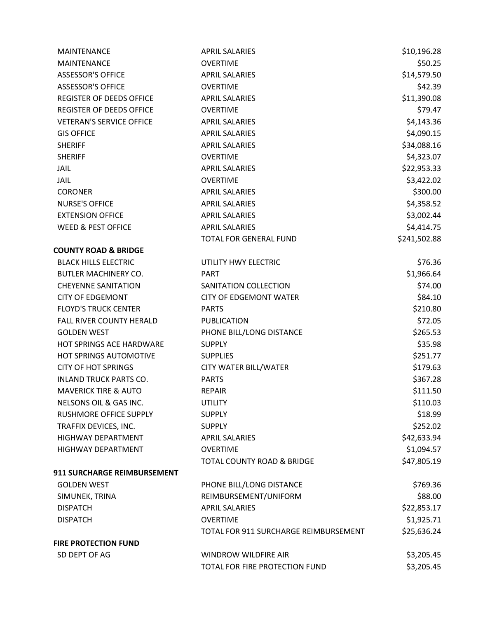| <b>MAINTENANCE</b>              | <b>APRIL SALARIES</b>                 | \$10,196.28  |
|---------------------------------|---------------------------------------|--------------|
| <b>MAINTENANCE</b>              | <b>OVERTIME</b>                       | \$50.25      |
| <b>ASSESSOR'S OFFICE</b>        | <b>APRIL SALARIES</b>                 | \$14,579.50  |
| <b>ASSESSOR'S OFFICE</b>        | <b>OVERTIME</b>                       | \$42.39      |
| <b>REGISTER OF DEEDS OFFICE</b> | <b>APRIL SALARIES</b>                 | \$11,390.08  |
| REGISTER OF DEEDS OFFICE        | <b>OVERTIME</b>                       | \$79.47      |
| <b>VETERAN'S SERVICE OFFICE</b> | <b>APRIL SALARIES</b>                 | \$4,143.36   |
| <b>GIS OFFICE</b>               | <b>APRIL SALARIES</b>                 | \$4,090.15   |
| <b>SHERIFF</b>                  | <b>APRIL SALARIES</b>                 | \$34,088.16  |
| <b>SHERIFF</b>                  | <b>OVERTIME</b>                       | \$4,323.07   |
| <b>JAIL</b>                     | <b>APRIL SALARIES</b>                 | \$22,953.33  |
| <b>JAIL</b>                     | <b>OVERTIME</b>                       | \$3,422.02   |
| <b>CORONER</b>                  | <b>APRIL SALARIES</b>                 | \$300.00     |
| <b>NURSE'S OFFICE</b>           | <b>APRIL SALARIES</b>                 | \$4,358.52   |
| <b>EXTENSION OFFICE</b>         | <b>APRIL SALARIES</b>                 | \$3,002.44   |
| <b>WEED &amp; PEST OFFICE</b>   | <b>APRIL SALARIES</b>                 | \$4,414.75   |
|                                 | <b>TOTAL FOR GENERAL FUND</b>         | \$241,502.88 |
| <b>COUNTY ROAD &amp; BRIDGE</b> |                                       |              |
| <b>BLACK HILLS ELECTRIC</b>     | UTILITY HWY ELECTRIC                  | \$76.36      |
| <b>BUTLER MACHINERY CO.</b>     | <b>PART</b>                           | \$1,966.64   |
| <b>CHEYENNE SANITATION</b>      | SANITATION COLLECTION                 | \$74.00      |
| <b>CITY OF EDGEMONT</b>         | <b>CITY OF EDGEMONT WATER</b>         | \$84.10      |
| <b>FLOYD'S TRUCK CENTER</b>     | <b>PARTS</b>                          | \$210.80     |
| FALL RIVER COUNTY HERALD        | <b>PUBLICATION</b>                    | \$72.05      |
| <b>GOLDEN WEST</b>              | PHONE BILL/LONG DISTANCE              | \$265.53     |
| <b>HOT SPRINGS ACE HARDWARE</b> | <b>SUPPLY</b>                         | \$35.98      |
| HOT SPRINGS AUTOMOTIVE          | <b>SUPPLIES</b>                       | \$251.77     |
| <b>CITY OF HOT SPRINGS</b>      | <b>CITY WATER BILL/WATER</b>          | \$179.63     |
| INLAND TRUCK PARTS CO.          | <b>PARTS</b>                          | \$367.28     |
| <b>MAVERICK TIRE &amp; AUTO</b> | <b>REPAIR</b>                         | \$111.50     |
| NELSONS OIL & GAS INC.          | <b>UTILITY</b>                        | \$110.03     |
| RUSHMORE OFFICE SUPPLY          | <b>SUPPLY</b>                         | \$18.99      |
| TRAFFIX DEVICES, INC.           | <b>SUPPLY</b>                         | \$252.02     |
| HIGHWAY DEPARTMENT              | <b>APRIL SALARIES</b>                 | \$42,633.94  |
| <b>HIGHWAY DEPARTMENT</b>       | <b>OVERTIME</b>                       | \$1,094.57   |
|                                 | TOTAL COUNTY ROAD & BRIDGE            | \$47,805.19  |
| 911 SURCHARGE REIMBURSEMENT     |                                       |              |
| <b>GOLDEN WEST</b>              | PHONE BILL/LONG DISTANCE              | \$769.36     |
| SIMUNEK, TRINA                  | REIMBURSEMENT/UNIFORM                 | \$88.00      |
| <b>DISPATCH</b>                 | <b>APRIL SALARIES</b>                 | \$22,853.17  |
| <b>DISPATCH</b>                 | <b>OVERTIME</b>                       | \$1,925.71   |
|                                 | TOTAL FOR 911 SURCHARGE REIMBURSEMENT | \$25,636.24  |
| <b>FIRE PROTECTION FUND</b>     |                                       |              |
| SD DEPT OF AG                   | <b>WINDROW WILDFIRE AIR</b>           | \$3,205.45   |
|                                 | TOTAL FOR FIRE PROTECTION FUND        | \$3,205.45   |